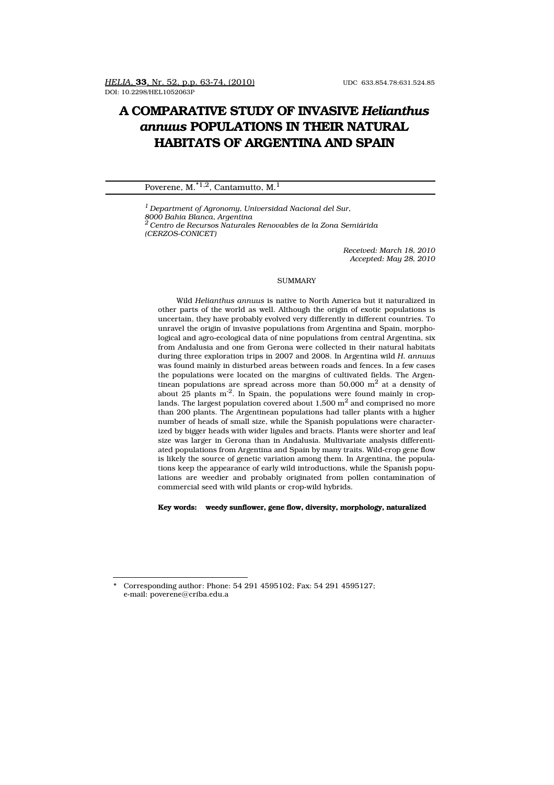# **A COMPARATIVE STUDY OF INVASIVE** *Helianthus annuus* **POPULATIONS IN THEIR NATURAL HABITATS OF ARGENTINA AND SPAIN**

## Poverene, M.<sup> $*1,2$ </sup>, Cantamutto, M.<sup>1</sup>

*<sup>1</sup> Department of Agronomy, Universidad Nacional del Sur, 8000 Bahia Blanca, Argentina <sup>2</sup> Centro de Recursos Naturales Renovables de la Zona Semiárida (CERZOS-CONICET)*

> *Received: March 18, 2010 Accepted: May 28, 2010*

#### **SUMMARY**

Wild *Helianthus annuus* is native to North America but it naturalized in other parts of the world as well. Although the origin of exotic populations is uncertain, they have probably evolved very differently in different countries. To unravel the origin of invasive populations from Argentina and Spain, morphological and agro-ecological data of nine populations from central Argentina, six from Andalusia and one from Gerona were collected in their natural habitats during three exploration trips in 2007 and 2008. In Argentina wild *H. annuus* was found mainly in disturbed areas between roads and fences. In a few cases the populations were located on the margins of cultivated fields. The Argentinean populations are spread across more than 50,000  $\mathrm{m}^2$  at a density of about  $25$  plants m<sup>-2</sup>. In Spain, the populations were found mainly in croplands. The largest population covered about  $1,500 \text{ m}^2$  and comprised no more than 200 plants. The Argentinean populations had taller plants with a higher number of heads of small size, while the Spanish populations were characterized by bigger heads with wider ligules and bracts. Plants were shorter and leaf size was larger in Gerona than in Andalusia. Multivariate analysis differentiated populations from Argentina and Spain by many traits. Wild-crop gene flow is likely the source of genetic variation among them. In Argentina, the populations keep the appearance of early wild introductions, while the Spanish populations are weedier and probably originated from pollen contamination of commercial seed with wild plants or crop-wild hybrids.

**Key words: weedy sunflower, gene flow, diversity, morphology, naturalized**

Corresponding author: Phone: 54 291 4595102; Fax: 54 291 4595127; e-mail: poverene@criba.edu.a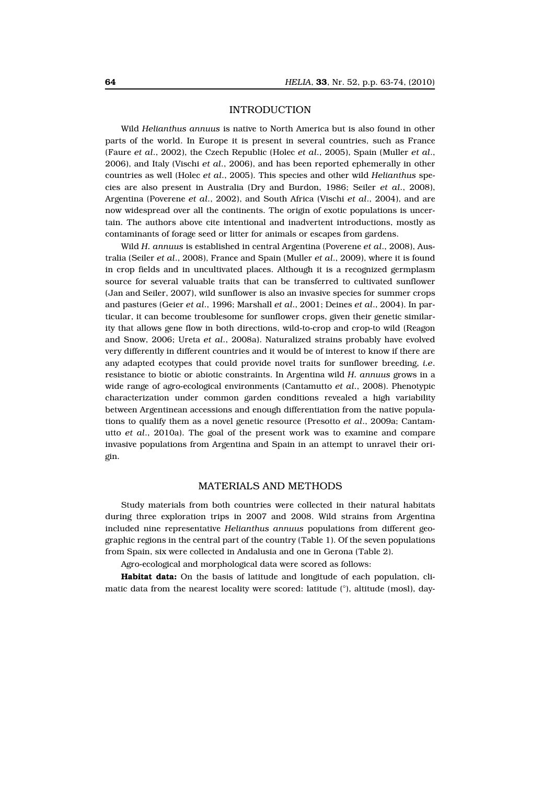## INTRODUCTION

Wild *Helianthus annuus* is native to North America but is also found in other parts of the world. In Europe it is present in several countries, such as France (Faure *et al*., 2002), the Czech Republic (Holec *et al*., 2005), Spain (Muller *et al*., 2006), and Italy (Vischi *et al*., 2006), and has been reported ephemerally in other countries as well (Holec *et al*., 2005). This species and other wild *Helianthus* species are also present in Australia (Dry and Burdon, 1986; Seiler *et al*., 2008), Argentina (Poverene *et al*., 2002), and South Africa (Vischi *et al*., 2004), and are now widespread over all the continents. The origin of exotic populations is uncertain. The authors above cite intentional and inadvertent introductions, mostly as contaminants of forage seed or litter for animals or escapes from gardens.

Wild *H. annuus* is established in central Argentina (Poverene *et al*., 2008), Australia (Seiler *et al*., 2008), France and Spain (Muller *et al*., 2009), where it is found in crop fields and in uncultivated places. Although it is a recognized germplasm source for several valuable traits that can be transferred to cultivated sunflower (Jan and Seiler, 2007), wild sunflower is also an invasive species for summer crops and pastures (Geier *et al*., 1996; Marshall *et al*., 2001; Deines *et al*., 2004). In particular, it can become troublesome for sunflower crops, given their genetic similarity that allows gene flow in both directions, wild-to-crop and crop-to wild (Reagon and Snow, 2006; Ureta *et al*., 2008a). Naturalized strains probably have evolved very differently in different countries and it would be of interest to know if there are any adapted ecotypes that could provide novel traits for sunflower breeding, *i.e*. resistance to biotic or abiotic constraints. In Argentina wild *H. annuus* grows in a wide range of agro-ecological environments (Cantamutto *et al*., 2008). Phenotypic characterization under common garden conditions revealed a high variability between Argentinean accessions and enough differentiation from the native populations to qualify them as a novel genetic resource (Presotto *et al*., 2009a; Cantamutto *et al*., 2010a). The goal of the present work was to examine and compare invasive populations from Argentina and Spain in an attempt to unravel their origin.

### MATERIALS AND METHODS

Study materials from both countries were collected in their natural habitats during three exploration trips in 2007 and 2008. Wild strains from Argentina included nine representative *Helianthus annuus* populations from different geographic regions in the central part of the country (Table 1). Of the seven populations from Spain, six were collected in Andalusia and one in Gerona (Table 2).

Agro-ecological and morphological data were scored as follows:

**Habitat data:** On the basis of latitude and longitude of each population, climatic data from the nearest locality were scored: latitude (°), altitude (mosl), day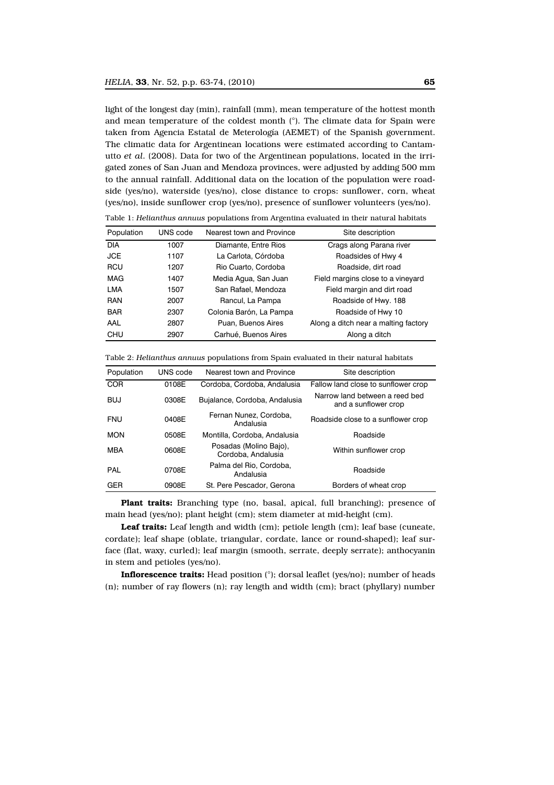light of the longest day (min), rainfall (mm), mean temperature of the hottest month and mean temperature of the coldest month (°). The climate data for Spain were taken from Agencia Estatal de Meterología (AEMET) of the Spanish government. The climatic data for Argentinean locations were estimated according to Cantamutto *et al*. (2008). Data for two of the Argentinean populations, located in the irrigated zones of San Juan and Mendoza provinces, were adjusted by adding 500 mm to the annual rainfall. Additional data on the location of the population were roadside (yes/no), waterside (yes/no), close distance to crops: sunflower, corn, wheat (yes/no), inside sunflower crop (yes/no), presence of sunflower volunteers (yes/no).

| Population | UNS code | Nearest town and Province | Site description                     |
|------------|----------|---------------------------|--------------------------------------|
| <b>DIA</b> | 1007     | Diamante, Entre Rios      | Crags along Parana river             |
| <b>JCE</b> | 1107     | La Carlota, Córdoba       | Roadsides of Hwy 4                   |
| <b>RCU</b> | 1207     | Rio Cuarto, Cordoba       | Roadside, dirt road                  |
| <b>MAG</b> | 1407     | Media Agua, San Juan      | Field margins close to a vineyard    |
| <b>LMA</b> | 1507     | San Rafael, Mendoza       | Field margin and dirt road           |
| <b>RAN</b> | 2007     | Rancul, La Pampa          | Roadside of Hwy. 188                 |
| <b>BAR</b> | 2307     | Colonia Barón, La Pampa   | Roadside of Hwy 10                   |
| AAL        | 2807     | Puan, Buenos Aires        | Along a ditch near a malting factory |
| <b>CHU</b> | 2907     | Carhué, Buenos Aires      | Along a ditch                        |

Table 1: *Helianthus annuus* populations from Argentina evaluated in their natural habitats

| Table 2: Helianthus annuus populations from Spain evaluated in their natural habitats |  |  |  |  |
|---------------------------------------------------------------------------------------|--|--|--|--|
|---------------------------------------------------------------------------------------|--|--|--|--|

| Population | UNS code | Nearest town and Province                    | Site description                                       |
|------------|----------|----------------------------------------------|--------------------------------------------------------|
| <b>COR</b> | 0108E    | Cordoba, Cordoba, Andalusia                  | Fallow land close to sunflower crop                    |
| <b>BUJ</b> | 0308E    | Bujalance, Cordoba, Andalusia                | Narrow land between a reed bed<br>and a sunflower crop |
| <b>FNU</b> | 0408F    | Fernan Nunez, Cordoba,<br>Andalusia          | Roadside close to a sunflower crop                     |
| <b>MON</b> | 0508F    | Montilla, Cordoba, Andalusia                 | Roadside                                               |
| <b>MBA</b> | 0608F    | Posadas (Molino Bajo),<br>Cordoba, Andalusia | Within sunflower crop                                  |
| <b>PAL</b> | 0708E    | Palma del Rio, Cordoba.<br>Andalusia         | Roadside                                               |
| <b>GER</b> | 0908E    | St. Pere Pescador. Gerona                    | Borders of wheat crop                                  |

**Plant traits:** Branching type (no, basal, apical, full branching); presence of main head (yes/no); plant height (cm); stem diameter at mid-height (cm).

**Leaf traits:** Leaf length and width (cm); petiole length (cm); leaf base (cuneate, cordate); leaf shape (oblate, triangular, cordate, lance or round-shaped); leaf surface (flat, waxy, curled); leaf margin (smooth, serrate, deeply serrate); anthocyanin in stem and petioles (yes/no).

**Inflorescence traits:** Head position (°); dorsal leaflet (yes/no); number of heads (n); number of ray flowers (n); ray length and width (cm); bract (phyllary) number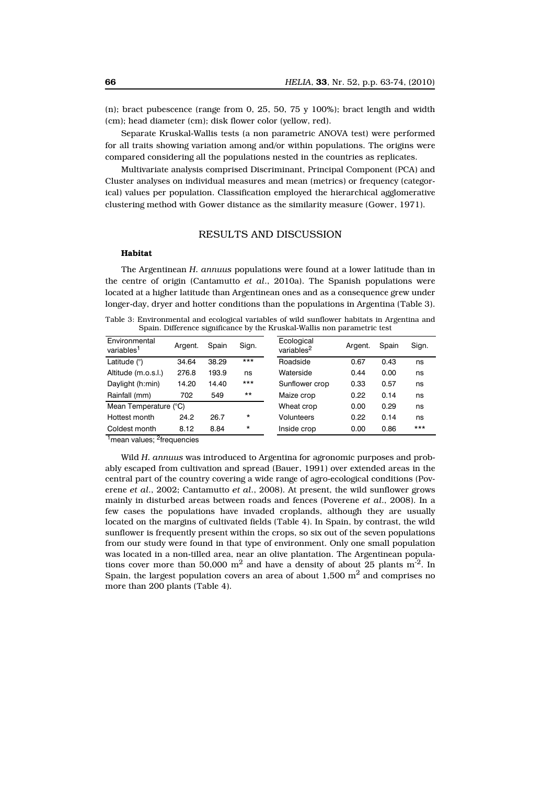(n); bract pubescence (range from 0, 25, 50, 75  $\gamma$  100%); bract length and width (cm); head diameter (cm); disk flower color (yellow, red).

Separate Kruskal-Wallis tests (a non parametric ANOVA test) were performed for all traits showing variation among and/or within populations. The origins were compared considering all the populations nested in the countries as replicates.

Multivariate analysis comprised Discriminant, Principal Component (PCA) and Cluster analyses on individual measures and mean (metrics) or frequency (categorical) values per population. Classification employed the hierarchical agglomerative clustering method with Gower distance as the similarity measure (Gower, 1971).

# RESULTS AND DISCUSSION

#### **Habitat**

The Argentinean *H. annuus* populations were found at a lower latitude than in the centre of origin (Cantamutto *et al*., 2010a). The Spanish populations were located at a higher latitude than Argentinean ones and as a consequence grew under longer-day, dryer and hotter conditions than the populations in Argentina (Table 3).

| Environmental<br>variables <sup>1</sup> | Argent. | Spain | Sign.   | Ecological<br>variables <sup>2</sup> | Argent. | Spain | Sign. |
|-----------------------------------------|---------|-------|---------|--------------------------------------|---------|-------|-------|
| Latitude $(°)$                          | 34.64   | 38.29 | $***$   | Roadside                             | 0.67    | 0.43  | ns    |
| Altitude (m.o.s.l.)                     | 276.8   | 193.9 | ns      | Waterside                            | 0.44    | 0.00  | ns    |
| Daylight (h:min)                        | 14.20   | 14.40 | $***$   | Sunflower crop                       | 0.33    | 0.57  | ns    |
| Rainfall (mm)                           | 702     | 549   | $***$   | Maize crop                           | 0.22    | 0.14  | ns    |
| Mean Temperature (°C)                   |         |       |         | Wheat crop                           | 0.00    | 0.29  | ns    |
| Hottest month                           | 24.2    | 26.7  | $\star$ | Volunteers                           | 0.22    | 0.14  | ns    |
| Coldest month                           | 8.12    | 8.84  | $\star$ | Inside crop                          | 0.00    | 0.86  | $***$ |
|                                         |         |       |         |                                      |         |       |       |

Table 3: Environmental and ecological variables of wild sunflower habitats in Argentina and Spain. Difference significance by the Kruskal-Wallis non parametric test

<sup>1</sup>mean values; <sup>2</sup>frequencies

Wild *H. annuus* was introduced to Argentina for agronomic purposes and probably escaped from cultivation and spread (Bauer, 1991) over extended areas in the central part of the country covering a wide range of agro-ecological conditions (Poverene *et al*., 2002; Cantamutto *et al*., 2008). At present, the wild sunflower grows mainly in disturbed areas between roads and fences (Poverene *et al*., 2008). In a few cases the populations have invaded croplands, although they are usually located on the margins of cultivated fields (Table 4). In Spain, by contrast, the wild sunflower is frequently present within the crops, so six out of the seven populations from our study were found in that type of environment. Only one small population was located in a non-tilled area, near an olive plantation. The Argentinean populations cover more than 50,000  $m^2$  and have a density of about 25 plants  $m^2$ . In Spain, the largest population covers an area of about  $1,500 \text{ m}^2$  and comprises no more than 200 plants (Table 4).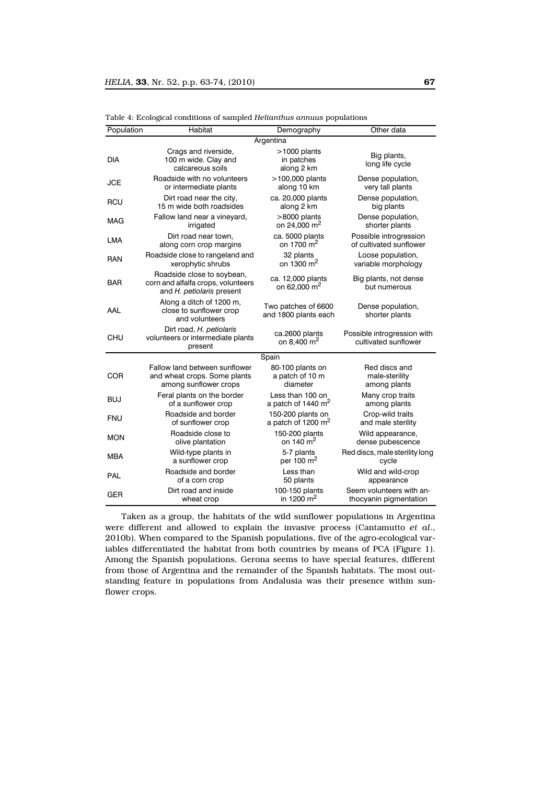| Population | Habitat                                                                                       | Demography                                    | Other data                                          |
|------------|-----------------------------------------------------------------------------------------------|-----------------------------------------------|-----------------------------------------------------|
|            |                                                                                               | Argentina                                     |                                                     |
| <b>DIA</b> | Crags and riverside,<br>100 m wide. Clay and<br>calcareous soils                              | >1000 plants<br>in patches<br>along 2 km      | Big plants,<br>long life cycle                      |
| <b>JCE</b> | Roadside with no volunteers                                                                   | >100,000 plants                               | Dense population,                                   |
|            | or intermediate plants                                                                        | along 10 km                                   | very tall plants                                    |
| RCU        | Dirt road near the city,                                                                      | ca. 20,000 plants                             | Dense population,                                   |
|            | 15 m wide both roadsides                                                                      | along 2 km                                    | big plants                                          |
| MAG        | Fallow land near a vineyard,                                                                  | >8000 plants                                  | Dense population,                                   |
|            | irrigated                                                                                     | on 24,000 m <sup>2</sup>                      | shorter plants                                      |
| LMA        | Dirt road near town,                                                                          | ca. 5000 plants                               | Possible introgression                              |
|            | along corn crop margins                                                                       | on 1700 m <sup>2</sup>                        | of cultivated sunflower                             |
| <b>RAN</b> | Roadside close to rangeland and                                                               | 32 plants                                     | Loose population,                                   |
|            | xerophytic shrubs                                                                             | on 1300 $\mathrm{m}^2$                        | variable morphology                                 |
| <b>BAR</b> | Roadside close to soybean,<br>corn and alfalfa crops, volunteers<br>and H. petiolaris present | ca. 12,000 plants<br>on 62,000 m <sup>2</sup> | Big plants, not dense<br>but numerous               |
| AAL        | Along a ditch of 1200 m,<br>close to sunflower crop<br>and volunteers                         | Two patches of 6600<br>and 1800 plants each   | Dense population,<br>shorter plants                 |
| CHU        | Dirt road, H. petiolaris<br>volunteers or intermediate plants<br>present                      | ca.2600 plants<br>on 8,400 $m2$               | Possible introgression with<br>cultivated sunflower |
|            |                                                                                               | Spain                                         |                                                     |
| COR        | Fallow land between sunflower                                                                 | 80-100 plants on                              | Red discs and                                       |
|            | and wheat crops. Some plants                                                                  | a patch of 10 m                               | male-sterility                                      |
|            | among sunflower crops                                                                         | diameter                                      | among plants                                        |
| <b>BUJ</b> | Feral plants on the border                                                                    | Less than 100 on                              | Many crop traits                                    |
|            | of a sunflower crop                                                                           | a patch of 1440 m <sup>2</sup>                | among plants                                        |
| <b>FNU</b> | Roadside and border                                                                           | 150-200 plants on                             | Crop-wild traits                                    |
|            | of sunflower crop                                                                             | a patch of 1200 m <sup>2</sup>                | and male sterility                                  |
| <b>MON</b> | Roadside close to                                                                             | 150-200 plants                                | Wild appearance,                                    |
|            | olive plantation                                                                              | on 140 $\mu$ <sup>2</sup>                     | dense pubescence                                    |
| MBA        | Wild-type plants in                                                                           | 5-7 plants                                    | Red discs, male sterility long                      |
|            | a sunflower crop                                                                              | per 100 m <sup>2</sup>                        | cycle                                               |
| PAL        | Roadside and border                                                                           | Less than                                     | Wild and wild-crop                                  |
|            | of a corn crop                                                                                | 50 plants                                     | appearance                                          |
| <b>GER</b> | Dirt road and inside                                                                          | 100-150 plants                                | Seem volunteers with an-                            |
|            | wheat crop                                                                                    | in 1200 m <sup>2</sup>                        | thocyanin pigmentation                              |

Table 4: Ecological conditions of sampled *Helianthus annuus* populations

Taken as a group, the habitats of the wild sunflower populations in Argentina were different and allowed to explain the invasive process (Cantamutto *et al*., 2010b). When compared to the Spanish populations, five of the agro-ecological variables differentiated the habitat from both countries by means of PCA (Figure 1). Among the Spanish populations, Gerona seems to have special features, different from those of Argentina and the remainder of the Spanish habitats. The most outstanding feature in populations from Andalusia was their presence within sunflower crops.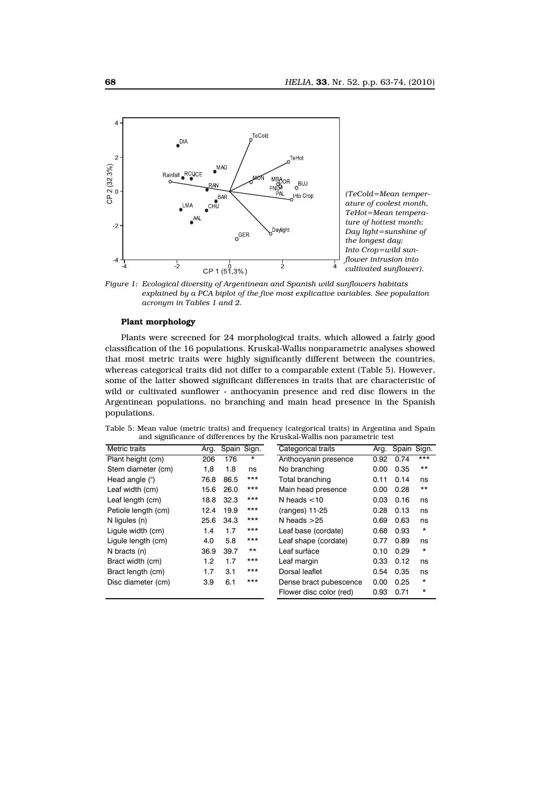

*Figure 1: Ecological diversity of Argentinean and Spanish wild sunflowers habitats explained by a PCA biplot of the five most explicative variables. See population acronym in Tables 1 and 2.*

#### **Plant morphology**

Plants were screened for 24 morphological traits, which allowed a fairly good classification of the 16 populations. Kruskal-Wallis nonparametric analyses showed that most metric traits were highly significantly different between the countries, whereas categorical traits did not differ to a comparable extent (Table 5). However, some of the latter showed significant differences in traits that are characteristic of wild or cultivated sunflower - anthocyanin presence and red disc flowers in the Argentinean populations, no branching and main head presence in the Spanish populations.

|  |  |  | Table 5: Mean value (metric traits) and frequency (categorical traits) in Argentina and Spain |  |  |  |
|--|--|--|-----------------------------------------------------------------------------------------------|--|--|--|
|  |  |  | and significance of differences by the Kruskal-Wallis non parametric test                     |  |  |  |

| Metric traits       | Arg. | Spain Sign. |         | Categorical traits      | Arg. | Spain | Sign.    |
|---------------------|------|-------------|---------|-------------------------|------|-------|----------|
| Plant height (cm)   | 206  | 176         | $\star$ | Anthocyanin presence    | 0.92 | 0.74  | ***      |
| Stem diameter (cm)  | 1,8  | 1.8         | ns      | No branching            | 0.00 | 0.35  | $***$    |
| Head angle (°)      | 76.8 | 86.5        | $***$   | Total branching         | 0.11 | 0.14  | ns       |
| Leaf width (cm)     | 15.6 | 26.0        | $***$   | Main head presence      | 0.00 | 0.28  | $***$    |
| Leaf length (cm)    | 18.8 | 32.3        | $***$   | N heads $<$ 10          | 0.03 | 0.16  | ns       |
| Petiole length (cm) | 12.4 | 19.9        | $***$   | (ranges) 11-25          | 0.28 | 0.13  | ns       |
| N liqules (n)       | 25.6 | 34.3        | $***$   | N heads $>25$           | 0.69 | 0.63  | ns       |
| Ligule width (cm)   | 1.4  | 1.7         | $***$   | Leaf base (cordate)     | 0.68 | 0.93  | $^\star$ |
| Ligule length (cm)  | 4.0  | 5.8         | $***$   | Leaf shape (cordate)    | 0.77 | 0.89  | ns       |
| N bracts (n)        | 36.9 | 39.7        | $***$   | Leaf surface            | 0.10 | 0.29  | $^\star$ |
| Bract width (cm)    | 1.2  | 1.7         | $***$   | Leaf margin             | 0.33 | 0.12  | ns       |
| Bract length (cm)   | 1.7  | 3.1         | $***$   | Dorsal leaflet          | 0.54 | 0.35  | ns       |
| Disc diameter (cm)  | 3.9  | 6.1         | $***$   | Dense bract pubescence  | 0.00 | 0.25  | $\star$  |
|                     |      |             |         | Flower disc color (red) | 0.93 | 0.71  | $^\star$ |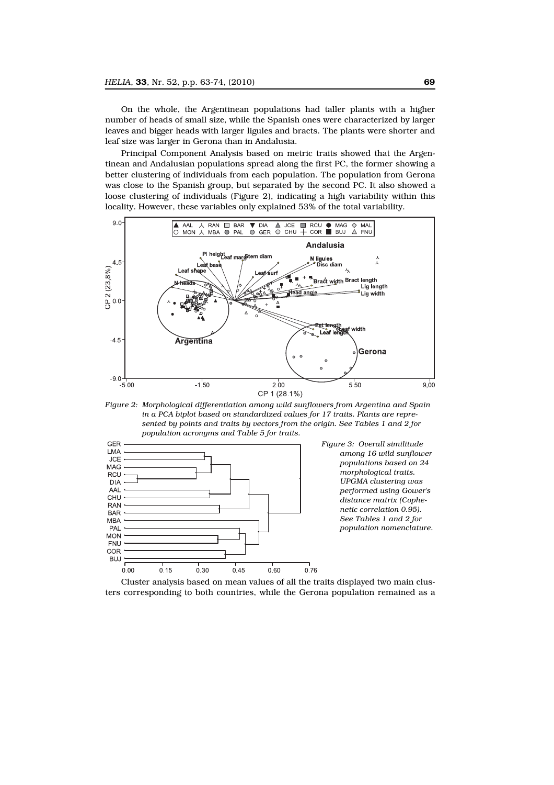On the whole, the Argentinean populations had taller plants with a higher number of heads of small size, while the Spanish ones were characterized by larger leaves and bigger heads with larger ligules and bracts. The plants were shorter and leaf size was larger in Gerona than in Andalusia.

Principal Component Analysis based on metric traits showed that the Argentinean and Andalusian populations spread along the first PC, the former showing a better clustering of individuals from each population. The population from Gerona was close to the Spanish group, but separated by the second PC. It also showed a loose clustering of individuals (Figure 2), indicating a high variability within this locality. However, these variables only explained 53% of the total variability.



*Figure 2: Morphological differentiation among wild sunflowers from Argentina and Spain in a PCA biplot based on standardized values for 17 traits. Plants are represented by points and traits by vectors from the origin. See Tables 1 and 2 for population acronyms and Table 5 for traits.*



*Figure 3: Overall similitude among 16 wild sunflower populations based on 24 morphological traits. UPGMA clustering was performed using Gower's distance matrix (Cophenetic correlation 0.95). See Tables 1 and 2 for population nomenclature.*

Cluster analysis based on mean values of all the traits displayed two main clusters corresponding to both countries, while the Gerona population remained as a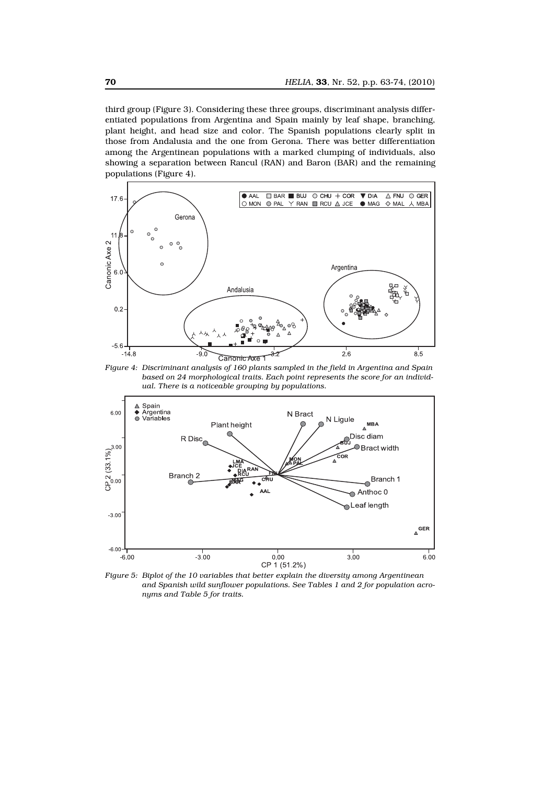third group (Figure 3). Considering these three groups, discriminant analysis differentiated populations from Argentina and Spain mainly by leaf shape, branching, plant height, and head size and color. The Spanish populations clearly split in those from Andalusia and the one from Gerona. There was better differentiation among the Argentinean populations with a marked clumping of individuals, also showing a separation between Rancul (RAN) and Baron (BAR) and the remaining populations (Figure 4).



*Figure 4: Discriminant analysis of 160 plants sampled in the field in Argentina and Spain based on 24 morphological traits. Each point represents the score for an individual. There is a noticeable grouping by populations.*



*Figure 5: Biplot of the 10 variables that better explain the diversity among Argentinean and Spanish wild sunflower populations. See Tables 1 and 2 for population acronyms and Table 5 for traits.*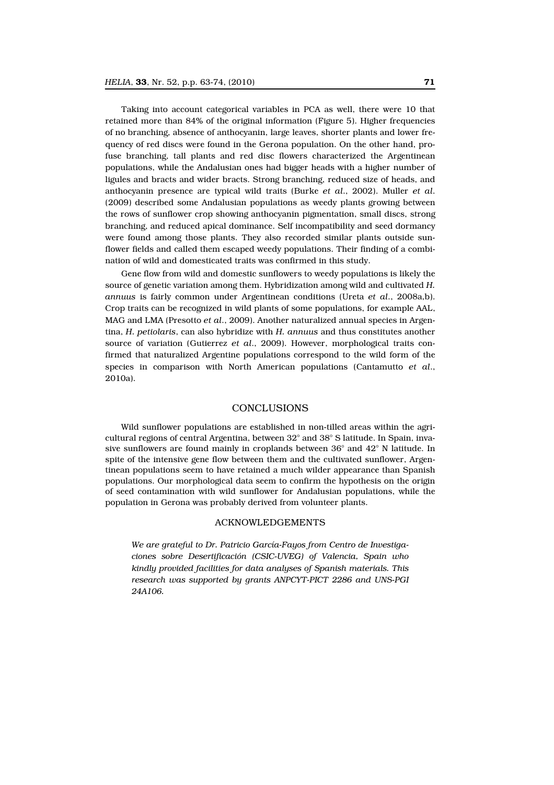Taking into account categorical variables in PCA as well, there were 10 that retained more than 84% of the original information (Figure 5). Higher frequencies of no branching, absence of anthocyanin, large leaves, shorter plants and lower frequency of red discs were found in the Gerona population. On the other hand, profuse branching, tall plants and red disc flowers characterized the Argentinean populations, while the Andalusian ones had bigger heads with a higher number of ligules and bracts and wider bracts. Strong branching, reduced size of heads, and anthocyanin presence are typical wild traits (Burke *et al*., 2002). Muller *et al*. (2009) described some Andalusian populations as weedy plants growing between the rows of sunflower crop showing anthocyanin pigmentation, small discs, strong branching, and reduced apical dominance. Self incompatibility and seed dormancy were found among those plants. They also recorded similar plants outside sunflower fields and called them escaped weedy populations. Their finding of a combination of wild and domesticated traits was confirmed in this study.

Gene flow from wild and domestic sunflowers to weedy populations is likely the source of genetic variation among them. Hybridization among wild and cultivated *H. annuus* is fairly common under Argentinean conditions (Ureta *et al*., 2008a,b). Crop traits can be recognized in wild plants of some populations, for example AAL, MAG and LMA (Presotto *et al*., 2009). Another naturalized annual species in Argentina, *H. petiolaris*, can also hybridize with *H. annuus* and thus constitutes another source of variation (Gutierrez *et al*., 2009). However, morphological traits confirmed that naturalized Argentine populations correspond to the wild form of the species in comparison with North American populations (Cantamutto *et al*., 2010a).

## CONCLUSIONS

Wild sunflower populations are established in non-tilled areas within the agricultural regions of central Argentina, between 32° and 38° S latitude. In Spain, invasive sunflowers are found mainly in croplands between 36° and 42° N latitude. In spite of the intensive gene flow between them and the cultivated sunflower, Argentinean populations seem to have retained a much wilder appearance than Spanish populations. Our morphological data seem to confirm the hypothesis on the origin of seed contamination with wild sunflower for Andalusian populations, while the population in Gerona was probably derived from volunteer plants.

## ACKNOWLEDGEMENTS

*We are grateful to Dr. Patricio García-Fayos from Centro de Investigaciones sobre Desertificación (CSIC-UVEG) of Valencia, Spain who kindly provided facilities for data analyses of Spanish materials. This research was supported by grants ANPCYT-PICT 2286 and UNS-PGI 24A106.*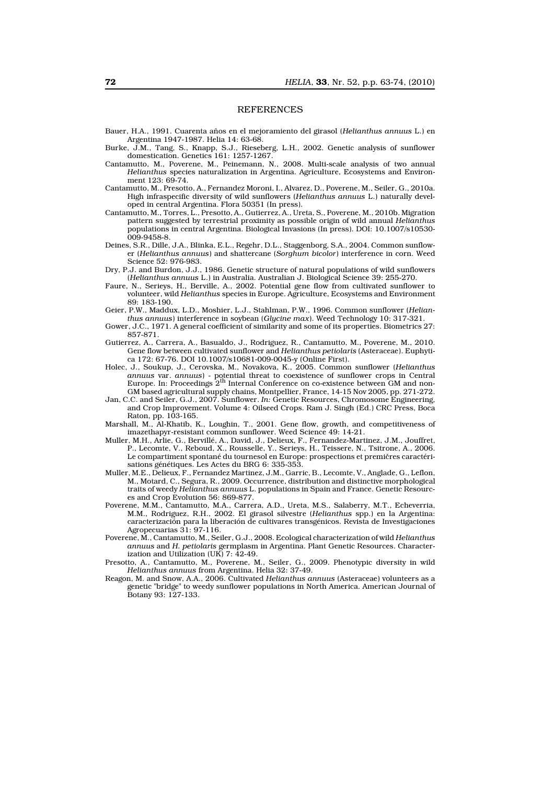#### REFERENCES

- Bauer, H.A., 1991. Cuarenta años en el mejoramiento del girasol (*Helianthus annuus* L.) en Argentina 1947-1987. Helia 14: 63-68.
- Burke, J.M., Tang, S., Knapp, S.J., Rieseberg, L.H., 2002. Genetic analysis of sunflower domestication. Genetics 161: 1257-1267.
- Cantamutto, M., Poverene, M., Peinemann, N., 2008. Multi-scale analysis of two annual *Helianthus* species naturalization in Argentina. Agriculture, Ecosystems and Environment 123: 69-74.
- Cantamutto, M., Presotto, A., Fernandez Moroni, I., Alvarez, D., Poverene, M., Seiler, G., 2010a. High infraspecific diversity of wild sunflowers (*Helianthus annuus* L.) naturally developed in central Argentina. Flora 50351 (In press).
- Cantamutto, M., Torres, L., Presotto, A., Gutierrez, A., Ureta, S., Poverene, M., 2010b. Migration pattern suggested by terrestrial proximity as possible origin of wild annual *Helianthus* populations in central Argentina. Biological Invasions (In press). DOI: 10.1007/s10530- 009-9458-8.
- Deines, S.R., Dille, J.A., Blinka, E.L., Regehr, D.L., Staggenborg, S.A., 2004. Common sunflower (*Helianthus annuus*) and shattercane (*Sorghum bicolor*) interference in corn. Weed Science 52: 976-983.
- Dry, P.J. and Burdon, J.J., 1986. Genetic structure of natural populations of wild sunflowers (*Helianthus annuus* L.) in Australia. Australian J. Biological Science 39: 255-270.
- Faure, N., Serieys, H., Berville, A., 2002. Potential gene flow from cultivated sunflower to volunteer, wild *Helianthus* species in Europe. Agriculture, Ecosystems and Environment 89: 183-190.
- Geier, P.W., Maddux, L.D., Moshier, L.J., Stahlman, P.W., 1996. Common sunflower (*Helianthus annuus*) interference in soybean (*Glycine max*). Weed Technology 10: 317-321.
- Gower, J.C., 1971. A general coefficient of similarity and some of its properties. Biometrics 27: 857-871.
- Gutierrez, A., Carrera, A., Basualdo, J., Rodriguez, R., Cantamutto, M., Poverene, M., 2010. Gene flow between cultivated sunflower and *Helianthus petiolaris* (Asteraceae). Euphytica 172: 67-76. DOI 10.1007/s10681-009-0045-y (Online First).
- Holec, J., Soukup, J., Cerovska, M., Novakova, K., 2005. Common sunflower (*Helianthus annuus var. annuus*) - potential threat to coexistence of sunflower crops in Central<br>Europe. In: Proceedings 2<sup>th</sup> Internal Conference on co-existence between GM and non-GM based agricultural supply chains, Montpellier, France, 14-15 Nov 2005, pp. 271-272.
- Jan, C.C. and Seiler, G.J., 2007. Sunflower. *In:* Genetic Resources, Chromosome Engineering, and Crop Improvement. Volume 4: Oilseed Crops. Ram J. Singh (Ed.) CRC Press, Boca Raton, pp. 103-165.
- Marshall, M., Al-Khatib, K., Loughin, T., 2001. Gene flow, growth, and competitiveness of imazethapyr-resistant common sunflower. Weed Science 49: 14-21.
- Muller, M.H., Arlie, G., Bervillé, A., David, J., Delieux, F., Fernandez-Martinez, J.M., Jouffret, P., Lecomte, V., Reboud, X., Rousselle, Y., Serieys, H., Teissere, N., Tsitrone, A., 2006. Le compartiment spontané du tournesol en Europe: prospections et premičres caractérisations génétiques. Les Actes du BRG 6: 335-353.
- Muller, M.E., Delieux, F., Fernandez Martinez, J.M., Garric, B., Lecomte, V., Anglade, G., Leflon, M., Motard, C., Segura, R., 2009. Occurrence, distribution and distinctive morphological traits of weedy *Helianthus annuus* L. populations in Spain and France. Genetic Resources and Crop Evolution 56: 869-877.
- Poverene, M.M., Cantamutto, M.A., Carrera, A.D., Ureta, M.S., Salaberry, M.T., Echeverria, M.M., Rodriguez, R.H., 2002. El girasol silvestre (*Helianthus* spp.) en la Argentina: caracterización para la liberación de cultivares transgénicos. Revista de Investigaciones Agropecuarias 31: 97-116.
- Poverene, M., Cantamutto, M., Seiler, G.J., 2008. Ecological characterization of wild *Helianthus annuus* and *H. petiolaris* germplasm in Argentina. Plant Genetic Resources. Characterization and Utilization (UK)  $7:42-49$ .
- Presotto, A., Cantamutto, M., Poverene, M., Seiler, G., 2009. Phenotypic diversity in wild *Helianthus annuus* from Argentina. Helia 32: 37-49.
- Reagon, M. and Snow, A.A., 2006. Cultivated *Helianthus annuus* (Asteraceae) volunteers as a genetic "bridge" to weedy sunflower populations in North America. American Journal of Botany 93: 127-133.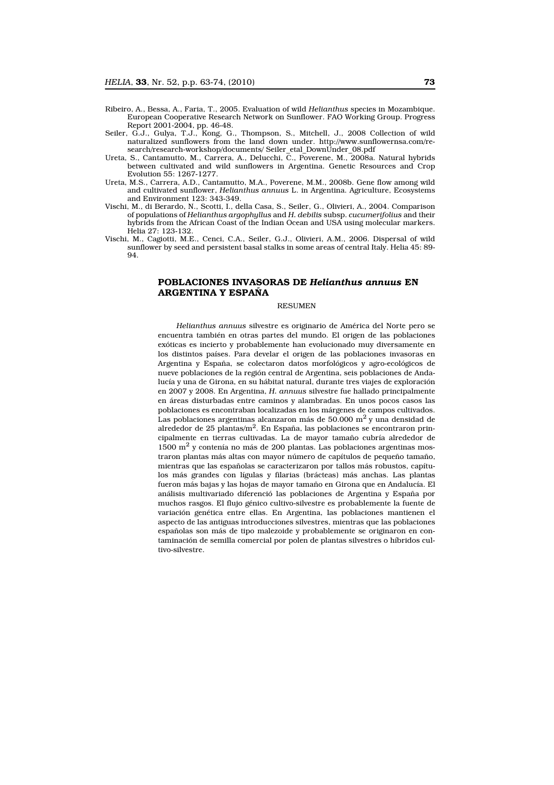- Ribeiro, A., Bessa, A., Faria, T., 2005. Evaluation of wild *Helianthus* species in Mozambique. European Cooperative Research Network on Sunflower. FAO Working Group. Progress Report 2001-2004, pp. 46-48.
- Seiler, G.J., Gulya, T.J., Kong, G., Thompson, S., Mitchell, J., 2008 Collection of wild naturalized sunflowers from the land down under. http://www.sunflowernsa.com/research/research-workshop/documents/ Seiler\_etal\_DownUnder\_08.pdf
- Ureta, S., Cantamutto, M., Carrera, A., Delucchi, C., Poverene, M., 2008a. Natural hybrids between cultivated and wild sunflowers in Argentina. Genetic Resources and Crop Evolution 55: 1267-1277.
- Ureta, M.S., Carrera, A.D., Cantamutto, M.A., Poverene, M.M., 2008b. Gene flow among wild and cultivated sunflower, *Helianthus annuus* L. in Argentina. Agriculture, Ecosystems and Environment 123: 343-349.
- Vischi, M., di Berardo, N., Scotti, I., della Casa, S., Seiler, G., Olivieri, A., 2004. Comparison of populations of *Helianthus argophyllus* and *H. debilis* subsp. *cucumerifolius* and their hybrids from the African Coast of the Indian Ocean and USA using molecular markers. Helia 27: 123-132.
- Vischi, M., Cagiotti, M.E., Cenci, C.A., Seiler, G.J., Olivieri, A.M., 2006. Dispersal of wild sunflower by seed and persistent basal stalks in some areas of central Italy. Helia 45: 89-  $94.$

# POBLACIONES INVASORAS DE *Helianthus annuus* EN ARGENTINA Y ESPAÑA

#### **RESUMEN**

*Helianthus annuus* silvestre es originario de América del Norte pero se encuentra también en otras partes del mundo. El origen de las poblaciones exóticas es incierto y probablemente han evolucionado muy diversamente en los distintos países. Para develar el origen de las poblaciones invasoras en Argentina y España, se colectaron datos morfológicos y agro-ecológicos de nueve poblaciones de la región central de Argentina, seis poblaciones de Andalucía y una de Girona, en su hábitat natural, durante tres viajes de exploración en 2007 y 2008. En Argentina, *H. annuus* silvestre fue hallado principalmente en áreas disturbadas entre caminos y alambradas. En unos pocos casos las poblaciones es encontraban localizadas en los márgenes de campos cultivados. Las poblaciones argentinas alcanzaron más de 50.000 m<sup>2</sup> y una densidad de alrededor de 25 plantas/ $m^2$ . En España, las poblaciones se encontraron principalmente en tierras cultivadas. La de mayor tamaño cubría alrededor de  $1500 \text{ m}^2$  y contenía no más de 200 plantas. Las poblaciones argentinas mostraron plantas más altas con mayor número de capítulos de pequeño tamaño, mientras que las españolas se caracterizaron por tallos más robustos, capítulos más grandes con lígulas y filarias (brácteas) más anchas. Las plantas fueron más bajas y las hojas de mayor tamaño en Girona que en Andalucía. El análisis multivariado diferenció las poblaciones de Argentina y España por muchos rasgos. El flujo génico cultivo-silvestre es probablemente la fuente de variación genética entre ellas. En Argentina, las poblaciones mantienen el aspecto de las antiguas introducciones silvestres, mientras que las poblaciones españolas son más de tipo malezoide y probablemente se originaron en contaminación de semilla comercial por polen de plantas silvestres o híbridos cultivo-silvestre.